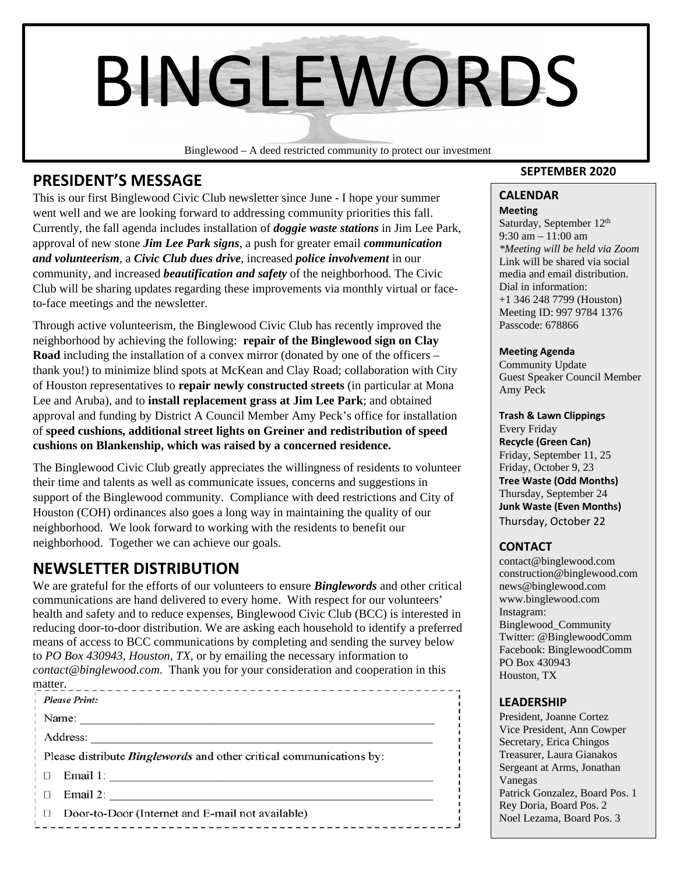# BINGLEWORDS

Binglewood – A deed restricted community to protect our investment

## **PRESIDENT'S MESSAGE**

This is our first Binglewood Civic Club newsletter since June - I hope your summer went well and we are looking forward to addressing community priorities this fall. Currently, the fall agenda includes installation of *doggie waste stations* in Jim Lee Park, approval of new stone *Jim Lee Park signs*, a push for greater email *communication and volunteerism*, a *Civic Club dues drive*, increased *police involvement* in our community, and increased *beautification and safety* of the neighborhood. The Civic Club will be sharing updates regarding these improvements via monthly virtual or faceto-face meetings and the newsletter.

Through active volunteerism, the Binglewood Civic Club has recently improved the neighborhood by achieving the following: **repair of the Binglewood sign on Clay Road** including the installation of a convex mirror (donated by one of the officers – thank you!) to minimize blind spots at McKean and Clay Road; collaboration with City of Houston representatives to **repair newly constructed streets** (in particular at Mona Lee and Aruba), and to **install replacement grass at Jim Lee Park**; and obtained approval and funding by District A Council Member Amy Peck's office for installation of **speed cushions, additional street lights on Greiner and redistribution of speed cushions on Blankenship, which was raised by a concerned residence.**

The Binglewood Civic Club greatly appreciates the willingness of residents to volunteer their time and talents as well as communicate issues, concerns and suggestions in support of the Binglewood community. Compliance with deed restrictions and City of Houston (COH) ordinances also goes a long way in maintaining the quality of our neighborhood. We look forward to working with the residents to benefit our neighborhood. Together we can achieve our goals.

## **NEWSLETTER DISTRIBUTION**

We are grateful for the efforts of our volunteers to ensure *Binglewords* and other critical communications are hand delivered to every home. With respect for our volunteers' health and safety and to reduce expenses, Binglewood Civic Club (BCC) is interested in reducing door-to-door distribution. We are asking each household to identify a preferred means of access to BCC communications by completing and sending the survey below to *PO Box 430943, Houston, TX,* or by emailing the necessary information to *contact@binglewood.com*. Thank you for your consideration and cooperation in this matter.

| uauu .<br>_________________                                                |                                                  |
|----------------------------------------------------------------------------|--------------------------------------------------|
|                                                                            | Please Print:                                    |
|                                                                            | Name: $\qquad \qquad$                            |
|                                                                            | Address:                                         |
| Please distribute <i>Binglewords</i> and other critical communications by: |                                                  |
| $\Box$                                                                     | Email 1:                                         |
| ⊢ □                                                                        | Email 2: $\qquad \qquad$                         |
| $\Box$                                                                     | Door-to-Door (Internet and E-mail not available) |
|                                                                            |                                                  |

#### **SEPTEMBER 2020**

#### **CALENDAR Meeting**

Saturday, September 12<sup>th</sup> 9:30 am – 11:00 am *\*Meeting will be held via Zoom*  Link will be shared via social media and email distribution. Dial in information: +1 346 248 7799 (Houston) Meeting ID: 997 9784 1376 Passcode: 678866

#### **Meeting Agenda**

Community Update Guest Speaker Council Member Amy Peck

#### **Trash & Lawn Clippings**

Every Friday **Recycle (Green Can)** Friday, September 11, 25 Friday, October 9, 23 **Tree Waste (Odd Months)** Thursday, September 24 **Junk Waste (Even Months)** Thursday, October 22

#### **CONTACT**

contact@binglewood.com construction@binglewood.com news@binglewood.com www.binglewood.com Instagram: Binglewood\_Community Twitter: @BinglewoodComm Facebook: BinglewoodComm PO Box 430943 Houston, TX

#### **LEADERSHIP**

Vanegas and the value of the value of  $\sim$ President, Joanne Cortez Vice President, Ann Cowper Secretary, Erica Chingos Treasurer, Laura Gianakos Sergeant at Arms, Jonathan Patrick Gonzalez, Board Pos. 1 Rey Doria, Board Pos. 2 Noel Lezama, Board Pos. 3